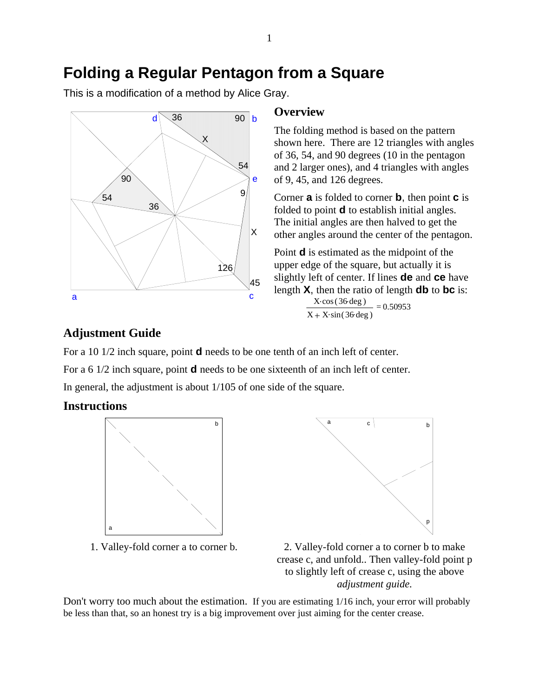## **Folding a Regular Pentagon from a Square**

This is a modification of a method by Alice Gray.



## **Overview**

The folding method is based on the pattern shown here. There are 12 triangles with angles of 36, 54, and 90 degrees (10 in the pentagon and 2 larger ones), and 4 triangles with angles of 9, 45, and 126 degrees.

Corner **a** is folded to corner **b**, then point **c** is folded to point **d** to establish initial angles. The initial angles are then halved to get the other angles around the center of the pentagon.

Point **d** is estimated as the midpoint of the upper edge of the square, but actually it is slightly left of center. If lines **de** and **ce** have length **X**, then the ratio of length **db** to **bc** is:

> $\frac{\text{X-cos} (36 \text{ deg})}{\text{cos} (36 \text{ deg})}$  $\frac{X \cos(36 \deg)}{X + X \sin(36 \deg)} = 0.50953$

## **Adjustment Guide**

For a 10 1/2 inch square, point **d** needs to be one tenth of an inch left of center. For a 6 1/2 inch square, point **d** needs to be one sixteenth of an inch left of center. In general, the adjustment is about 1/105 of one side of the square.

## **Instructions**



1. Valley-fold corner a to corner b.



2. Valley-fold corner a to corner b to make crease c, and unfold.. Then valley-fold point p to slightly left of crease c, using the above *adjustment guide.*

Don't worry too much about the estimation. If you are estimating 1/16 inch, your error will probably be less than that, so an honest try is a big improvement over just aiming for the center crease.